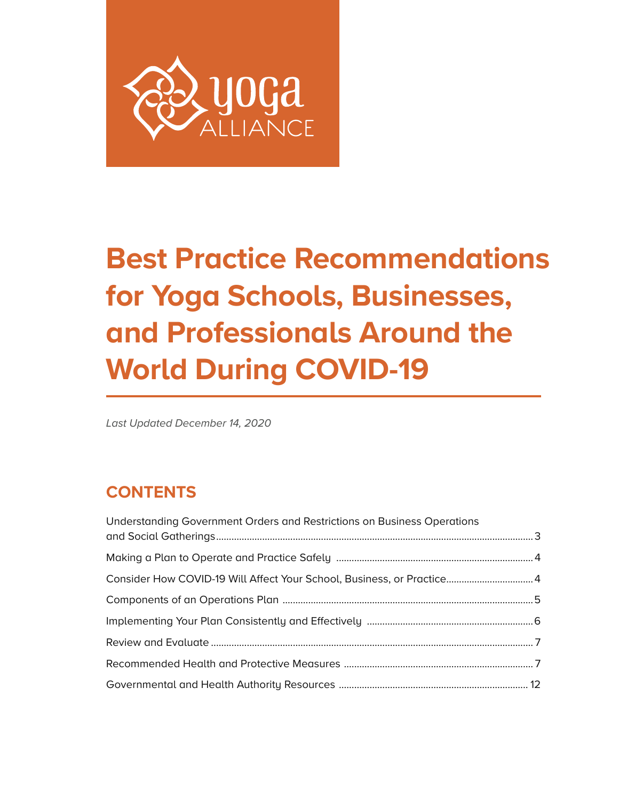

# **Best Practice Recommendations for Yoga Schools, Businesses, and Professionals Around the World During COVID-19**

*Last Updated December 14, 2020*

# **CONTENTS**

| Understanding Government Orders and Restrictions on Business Operations |  |
|-------------------------------------------------------------------------|--|
|                                                                         |  |
| Consider How COVID-19 Will Affect Your School, Business, or Practice 4  |  |
|                                                                         |  |
|                                                                         |  |
|                                                                         |  |
|                                                                         |  |
|                                                                         |  |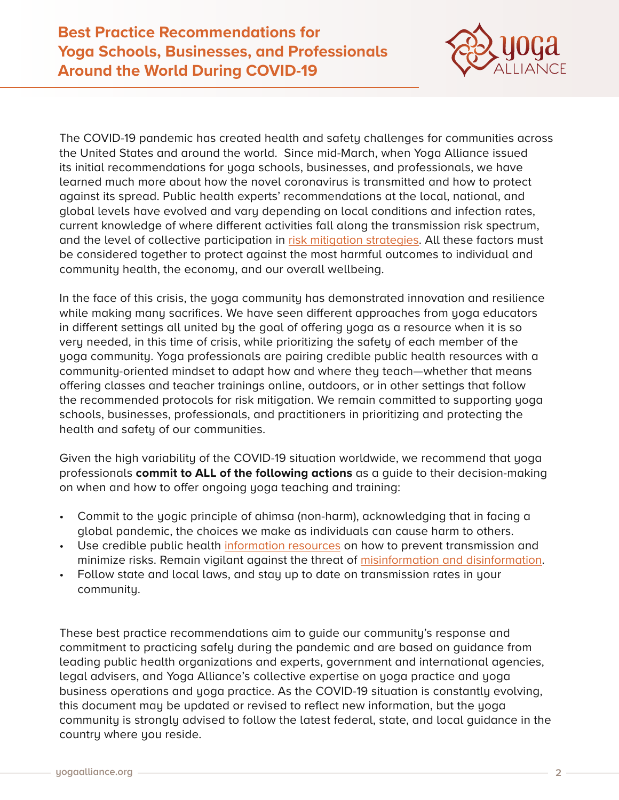

The COVID-19 pandemic has created health and safety challenges for communities across the United States and around the world. Since mid-March, when Yoga Alliance issued its initial recommendations for yoga schools, businesses, and professionals, we have learned much more about how the novel coronavirus is transmitted and how to protect against its spread. Public health experts' recommendations at the local, national, and global levels have evolved and vary depending on local conditions and infection rates, current knowledge of where different activities fall along the transmission risk spectrum, and the level of collective participation in [risk mitigation strategies](https://www.idsociety.org/globalassets/idsa/public-health/covid-19/activity-risk.pdf). All these factors must be considered together to protect against the most harmful outcomes to individual and community health, the economy, and our overall wellbeing.

In the face of this crisis, the yoga community has demonstrated innovation and resilience while making many sacrifices. We have seen different approaches from yoga educators in different settings all united by the goal of offering yoga as a resource when it is so very needed, in this time of crisis, while prioritizing the safety of each member of the yoga community. Yoga professionals are pairing credible public health resources with a community-oriented mindset to adapt how and where they teach—whether that means offering classes and teacher trainings online, outdoors, or in other settings that follow the recommended protocols for risk mitigation. We remain committed to supporting yoga schools, businesses, professionals, and practitioners in prioritizing and protecting the health and safety of our communities.

Given the high variability of the COVID-19 situation worldwide, we recommend that yoga professionals **commit to ALL of the following actions** as a guide to their decision-making on when and how to offer ongoing yoga teaching and training:

- Commit to the yogic principle of ahimsa (non-harm), acknowledging that in facing a global pandemic, the choices we make as individuals can cause harm to others.
- Use credible public health [information resources](https://yourya.org/health-information/#cvd-resources) on how to prevent transmission and minimize risks. Remain vigilant against the threat of [misinformation and disinformation](https://www.who.int/news-room/spotlight/let-s-flatten-the-infodemic-curve).
- Follow state and local laws, and stay up to date on transmission rates in your community.

These best practice recommendations aim to guide our community's response and commitment to practicing safely during the pandemic and are based on guidance from leading public health organizations and experts, government and international agencies, legal advisers, and Yoga Alliance's collective expertise on yoga practice and yoga business operations and yoga practice. As the COVID-19 situation is constantly evolving, this document may be updated or revised to reflect new information, but the yoga community is strongly advised to follow the latest federal, state, and local guidance in the country where you reside.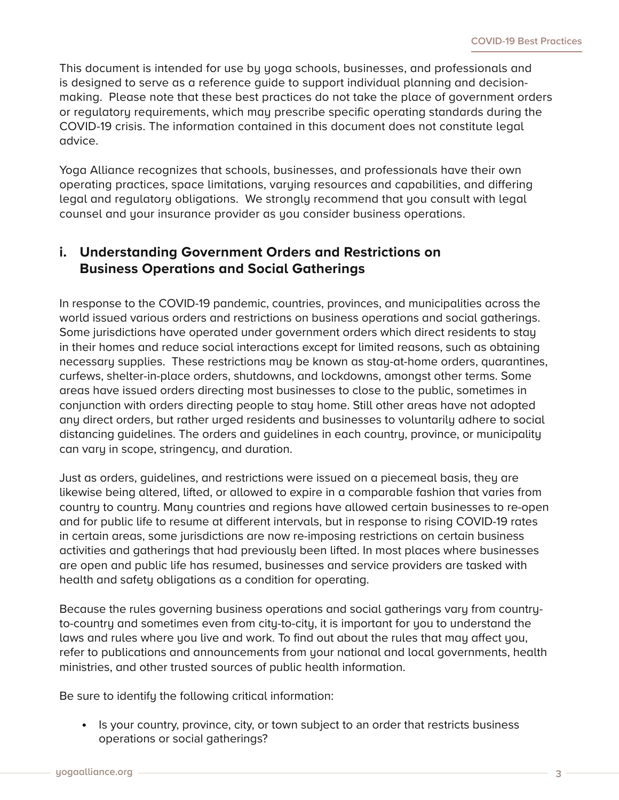This document is intended for use by yoga schools, businesses, and professionals and is designed to serve as a reference guide to support individual planning and decisionmaking. Please note that these best practices do not take the place of government orders or regulatory requirements, which may prescribe specific operating standards during the COVID-19 crisis. The information contained in this document does not constitute legal advice.

Yoga Alliance recognizes that schools, businesses, and professionals have their own operating practices, space limitations, varying resources and capabilities, and differing legal and regulatory obligations. We strongly recommend that you consult with legal counsel and your insurance provider as you consider business operations.

# **i. Understanding Government Orders and Restrictions on Business Operations and Social Gatherings**

In response to the COVID-19 pandemic, countries, provinces, and municipalities across the world issued various orders and restrictions on business operations and social gatherings. Some jurisdictions have operated under government orders which direct residents to stay in their homes and reduce social interactions except for limited reasons, such as obtaining necessary supplies. These restrictions may be known as stay-at-home orders, quarantines, curfews, shelter-in-place orders, shutdowns, and lockdowns, amongst other terms. Some areas have issued orders directing most businesses to close to the public, sometimes in conjunction with orders directing people to stay home. Still other areas have not adopted any direct orders, but rather urged residents and businesses to voluntarily adhere to social distancing guidelines. The orders and guidelines in each country, province, or municipality can vary in scope, stringency, and duration.

Just as orders, guidelines, and restrictions were issued on a piecemeal basis, they are likewise being altered, lifted, or allowed to expire in a comparable fashion that varies from country to country. Many countries and regions have allowed certain businesses to re-open and for public life to resume at different intervals, but in response to rising COVID-19 rates in certain areas, some jurisdictions are now re-imposing restrictions on certain business activities and gatherings that had previously been lifted. In most places where businesses are open and public life has resumed, businesses and service providers are tasked with health and safety obligations as a condition for operating.

Because the rules governing business operations and social gatherings vary from countryto-country and sometimes even from city-to-city, it is important for you to understand the laws and rules where you live and work. To find out about the rules that may affect you, refer to publications and announcements from your national and local governments, health ministries, and other trusted sources of public health information.

Be sure to identify the following critical information:

**•** Is your country, province, city, or town subject to an order that restricts business operations or social gatherings?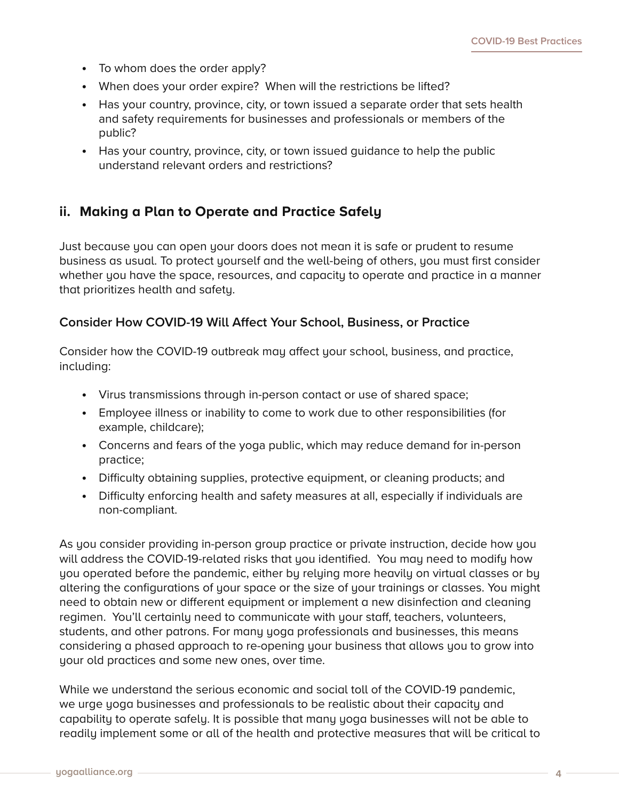- **•** To whom does the order apply?
- **•** When does your order expire? When will the restrictions be lifted?
- **•** Has your country, province, city, or town issued a separate order that sets health and safety requirements for businesses and professionals or members of the public?
- **•** Has your country, province, city, or town issued guidance to help the public understand relevant orders and restrictions?

# **ii. Making a Plan to Operate and Practice Safely**

Just because you can open your doors does not mean it is safe or prudent to resume business as usual. To protect yourself and the well-being of others, you must first consider whether you have the space, resources, and capacity to operate and practice in a manner that prioritizes health and safety.

#### **Consider How COVID-19 Will Affect Your School, Business, or Practice**

Consider how the COVID-19 outbreak may affect your school, business, and practice, including:

- **•** Virus transmissions through in-person contact or use of shared space;
- **•** Employee illness or inability to come to work due to other responsibilities (for example, childcare);
- **•** Concerns and fears of the yoga public, which may reduce demand for in-person practice;
- **•** Difficulty obtaining supplies, protective equipment, or cleaning products; and
- **•** Difficulty enforcing health and safety measures at all, especially if individuals are non-compliant.

As you consider providing in-person group practice or private instruction, decide how you will address the COVID-19-related risks that you identified. You may need to modify how you operated before the pandemic, either by relying more heavily on virtual classes or by altering the configurations of your space or the size of your trainings or classes. You might need to obtain new or different equipment or implement a new disinfection and cleaning regimen. You'll certainly need to communicate with your staff, teachers, volunteers, students, and other patrons. For many yoga professionals and businesses, this means considering a phased approach to re-opening your business that allows you to grow into your old practices and some new ones, over time.

While we understand the serious economic and social toll of the COVID-19 pandemic, we urge yoga businesses and professionals to be realistic about their capacity and capability to operate safely. It is possible that many yoga businesses will not be able to readily implement some or all of the health and protective measures that will be critical to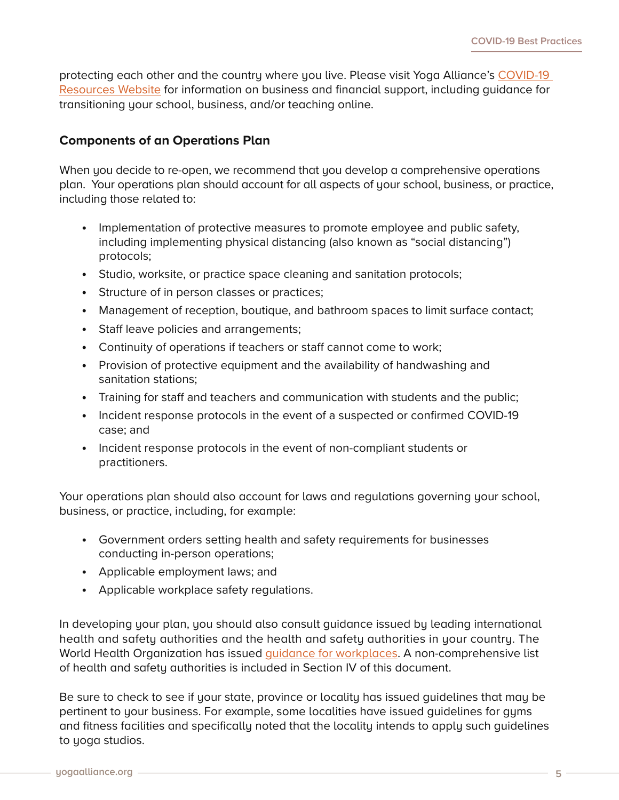protecting each other and the country where you live. Please visit Yoga Alliance's COVID-19 [Resources Website](https://yourya.org/) for information on business and financial support, including guidance for transitioning your school, business, and/or teaching online.

#### **Components of an Operations Plan**

When you decide to re-open, we recommend that you develop a comprehensive operations plan. Your operations plan should account for all aspects of your school, business, or practice, including those related to:

- **•** Implementation of protective measures to promote employee and public safety, including implementing physical distancing (also known as "social distancing") protocols;
- **•** Studio, worksite, or practice space cleaning and sanitation protocols;
- **•** Structure of in person classes or practices;
- **•** Management of reception, boutique, and bathroom spaces to limit surface contact;
- **•** Staff leave policies and arrangements;
- **•** Continuity of operations if teachers or staff cannot come to work;
- **•** Provision of protective equipment and the availability of handwashing and sanitation stations;
- **•** Training for staff and teachers and communication with students and the public;
- **•** Incident response protocols in the event of a suspected or confirmed COVID-19 case; and
- **•** Incident response protocols in the event of non-compliant students or practitioners.

Your operations plan should also account for laws and regulations governing your school, business, or practice, including, for example:

- **•** Government orders setting health and safety requirements for businesses conducting in-person operations;
- **•** Applicable employment laws; and
- **•** Applicable workplace safety regulations.

In developing your plan, you should also consult guidance issued by leading international health and safety authorities and the health and safety authorities in your country. The World Health Organization has issued [guidance for workplaces](https://www.who.int/docs/default-source/coronaviruse/advice-for-workplace-clean-19-03-2020.pdf). A non-comprehensive list of health and safety authorities is included in Section IV of this document.

Be sure to check to see if your state, province or locality has issued guidelines that may be pertinent to your business. For example, some localities have issued guidelines for gyms and fitness facilities and specifically noted that the locality intends to apply such guidelines to yoga studios.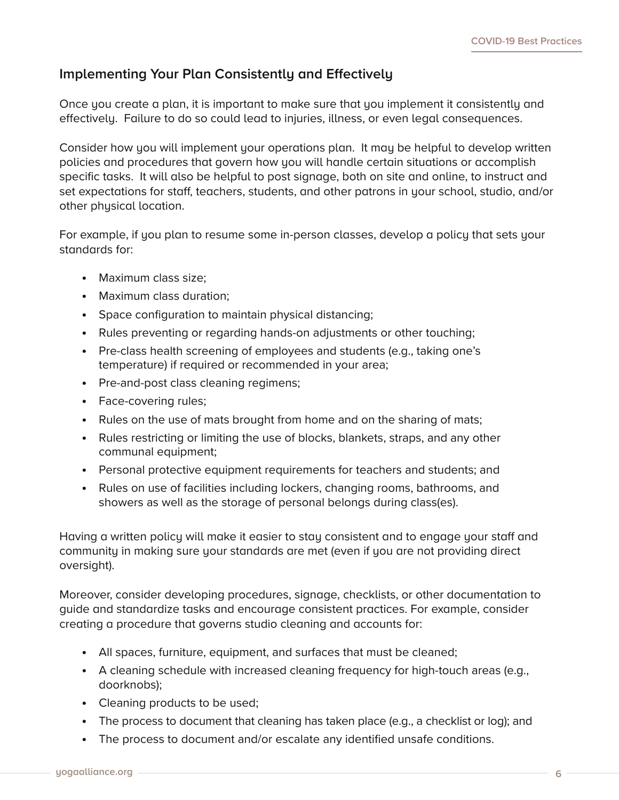# **Implementing Your Plan Consistently and Effectively**

Once you create a plan, it is important to make sure that you implement it consistently and effectively. Failure to do so could lead to injuries, illness, or even legal consequences.

Consider how you will implement your operations plan. It may be helpful to develop written policies and procedures that govern how you will handle certain situations or accomplish specific tasks. It will also be helpful to post signage, both on site and online, to instruct and set expectations for staff, teachers, students, and other patrons in your school, studio, and/or other physical location.

For example, if you plan to resume some in-person classes, develop a policy that sets your standards for:

- **•** Maximum class size;
- **•** Maximum class duration;
- **•** Space configuration to maintain physical distancing;
- **•** Rules preventing or regarding hands-on adjustments or other touching;
- **•** Pre-class health screening of employees and students (e.g., taking one's temperature) if required or recommended in your area;
- **•** Pre-and-post class cleaning regimens;
- **•** Face-covering rules;
- **•** Rules on the use of mats brought from home and on the sharing of mats;
- **•** Rules restricting or limiting the use of blocks, blankets, straps, and any other communal equipment;
- **•** Personal protective equipment requirements for teachers and students; and
- **•** Rules on use of facilities including lockers, changing rooms, bathrooms, and showers as well as the storage of personal belongs during class(es).

Having a written policy will make it easier to stay consistent and to engage your staff and community in making sure your standards are met (even if you are not providing direct oversight).

Moreover, consider developing procedures, signage, checklists, or other documentation to guide and standardize tasks and encourage consistent practices. For example, consider creating a procedure that governs studio cleaning and accounts for:

- **•** All spaces, furniture, equipment, and surfaces that must be cleaned;
- **•** A cleaning schedule with increased cleaning frequency for high-touch areas (e.g., doorknobs);
- **•** Cleaning products to be used;
- **•** The process to document that cleaning has taken place (e.g., a checklist or log); and
- **•** The process to document and/or escalate any identified unsafe conditions.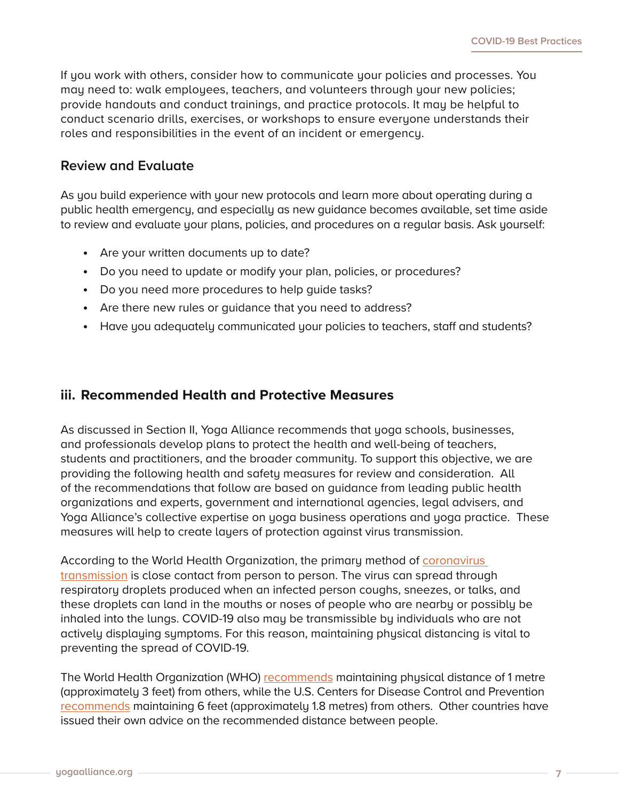If you work with others, consider how to communicate your policies and processes. You may need to: walk employees, teachers, and volunteers through your new policies; provide handouts and conduct trainings, and practice protocols. It may be helpful to conduct scenario drills, exercises, or workshops to ensure everyone understands their roles and responsibilities in the event of an incident or emergency.

# **Review and Evaluate**

As you build experience with your new protocols and learn more about operating during a public health emergency, and especially as new guidance becomes available, set time aside to review and evaluate your plans, policies, and procedures on a regular basis. Ask yourself:

- **•** Are your written documents up to date?
- **•** Do you need to update or modify your plan, policies, or procedures?
- **•** Do you need more procedures to help guide tasks?
- **•** Are there new rules or guidance that you need to address?
- **•** Have you adequately communicated your policies to teachers, staff and students?

# **iii. Recommended Health and Protective Measures**

As discussed in Section II, Yoga Alliance recommends that yoga schools, businesses, and professionals develop plans to protect the health and well-being of teachers, students and practitioners, and the broader community. To support this objective, we are providing the following health and safety measures for review and consideration. All of the recommendations that follow are based on guidance from leading public health organizations and experts, government and international agencies, legal advisers, and Yoga Alliance's collective expertise on yoga business operations and yoga practice. These measures will help to create layers of protection against virus transmission.

According to the World Health Organization, the primary method of [coronavirus](https://www.who.int/docs/default-source/coronaviruse/situation-reports/20200402-sitrep-73-covid-19.pdf?sfvrsn=5ae25bc7_6)  [transmission](https://www.who.int/docs/default-source/coronaviruse/situation-reports/20200402-sitrep-73-covid-19.pdf?sfvrsn=5ae25bc7_6) is close contact from person to person. The virus can spread through respiratory droplets produced when an infected person coughs, sneezes, or talks, and these droplets can land in the mouths or noses of people who are nearby or possibly be inhaled into the lungs. COVID-19 also may be transmissible by individuals who are not actively displaying symptoms. For this reason, maintaining physical distancing is vital to preventing the spread of COVID-19.

The World Health Organization (WHO) [recommends](https://www.who.int/emergencies/diseases/novel-coronavirus-2019/question-and-answers-hub/q-a-detail/coronavirus-disease-covid-19-health-and-safety-in-the-workplace) maintaining physical distance of 1 metre (approximately 3 feet) from others, while the U.S. Centers for Disease Control and Prevention [recommends](https://www.cdc.gov/coronavirus/2019-ncov/prevent-getting-sick/social-distancing.html) maintaining 6 feet (approximately 1.8 metres) from others. Other countries have issued their own advice on the recommended distance between people.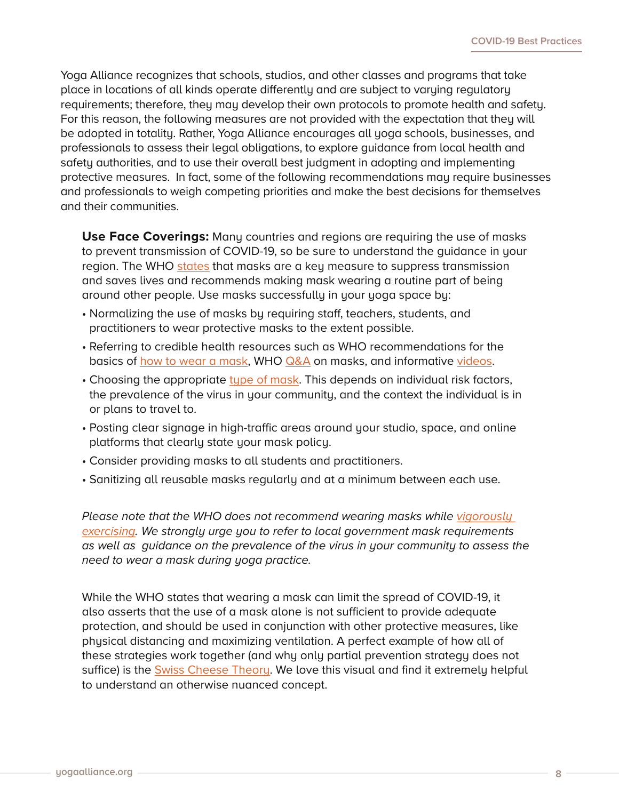Yoga Alliance recognizes that schools, studios, and other classes and programs that take place in locations of all kinds operate differently and are subject to varying regulatory requirements; therefore, they may develop their own protocols to promote health and safety. For this reason, the following measures are not provided with the expectation that they will be adopted in totality. Rather, Yoga Alliance encourages all yoga schools, businesses, and professionals to assess their legal obligations, to explore guidance from local health and safety authorities, and to use their overall best judgment in adopting and implementing protective measures. In fact, some of the following recommendations may require businesses and professionals to weigh competing priorities and make the best decisions for themselves and their communities.

**Use Face Coverings:** Many countries and regions are requiring the use of masks to prevent transmission of COVID-19, so be sure to understand the guidance in your region. The WHO [states](https://www.who.int/emergencies/diseases/novel-coronavirus-2019/question-and-answers-hub/q-a-detail/coronavirus-disease-covid-19-masks) that masks are a key measure to suppress transmission and saves lives and recommends making mask wearing a routine part of being around other people. Use masks successfully in your yoga space by:

- Normalizing the use of masks by requiring staff, teachers, students, and practitioners to wear protective masks to the extent possible.
- Referring to credible health resources such as WHO recommendations for the basics of [how to wear a mask](https://www.who.int/emergencies/diseases/novel-coronavirus-2019/advice-for-public/when-and-how-to-use-masks), WHO [Q&A](https://www.who.int/emergencies/diseases/novel-coronavirus-2019/question-and-answers-hub/q-a-detail/coronavirus-disease-covid-19-masks) on masks, and informative [videos.](https://www.who.int/emergencies/diseases/novel-coronavirus-2019/advice-for-public/when-and-how-to-use-masks)
- Choosing the appropriate [type of mask](https://www.who.int/emergencies/diseases/novel-coronavirus-2019/question-and-answers-hub/q-a-detail/coronavirus-disease-covid-19-masks). This depends on individual risk factors, the prevalence of the virus in your community, and the context the individual is in or plans to travel to.
- Posting clear signage in high-traffic areas around your studio, space, and online platforms that clearly state your mask policy.
- Consider providing masks to all students and practitioners.
- Sanitizing all reusable masks regularly and at a minimum between each use.

*Please note that the WHO does not recommend wearing masks while vigorously [exercising.](https://www.who.int/images/default-source/health-topics/coronavirus/myth-busters/mythbuster---masks-and-exercise.png) We strongly urge you to refer to local government mask requirements as well as guidance on the prevalence of the virus in your community to assess the need to wear a mask during yoga practice.*

While the WHO states that wearing a mask can limit the spread of COVID-19, it also asserts that the use of a mask alone is not sufficient to provide adequate protection, and should be used in conjunction with other protective measures, like physical distancing and maximizing ventilation. A perfect example of how all of these strategies work together (and why only partial prevention strategy does not suffice) is the [Swiss Cheese Theory](https://www.nytimes.com/2020/12/05/health/coronavirus-swiss-cheese-infection-mackay.html). We love this visual and find it extremely helpful to understand an otherwise nuanced concept.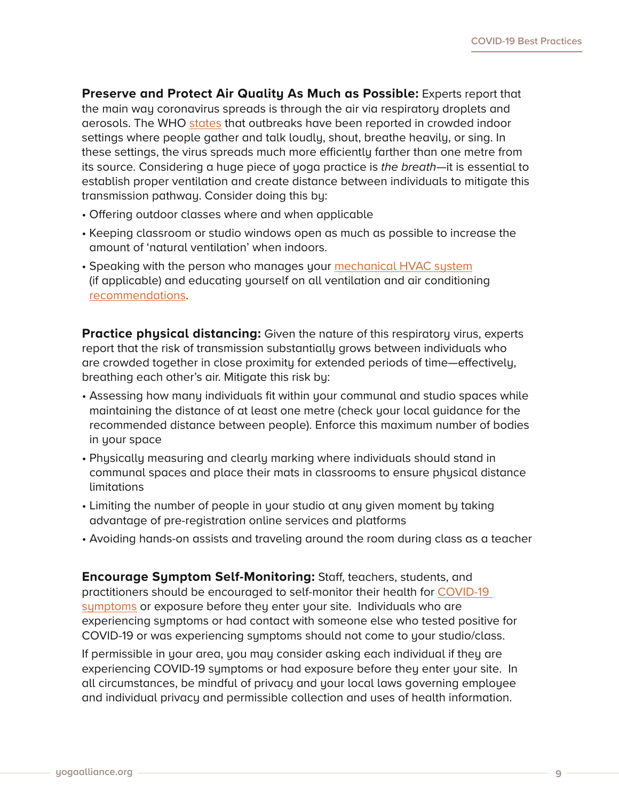**Preserve and Protect Air Quality As Much as Possible:** Experts report that the main way coronavirus spreads is through the air via respiratory droplets and aerosols. The WHO [states](https://www.who.int/emergencies/diseases/novel-coronavirus-2019/advice-for-public) that outbreaks have been reported in crowded indoor settings where people gather and talk loudly, shout, breathe heavily, or sing. In these settings, the virus spreads much more efficiently farther than one metre from its source. Considering a huge piece of yoga practice is *the breath*—it is essential to establish proper ventilation and create distance between individuals to mitigate this transmission pathway. Consider doing this by:

- Offering outdoor classes where and when applicable
- Keeping classroom or studio windows open as much as possible to increase the amount of 'natural ventilation' when indoors.
- Speaking with the person who manages your [mechanical HVAC system](https://www.who.int/emergencies/diseases/novel-coronavirus-2019/question-and-answers-hub/q-a-detail/coronavirus-disease-covid-19-ventilation-and-air-conditioning-in-public-spaces-and-buildings) (if applicable) and educating yourself on all ventilation and air conditioning [recommendations.](https://www.who.int/news-room/q-a-detail/coronavirus-disease-covid-19-ventilation-and-air-conditioning)

**Practice physical distancing:** Given the nature of this respiratory virus, experts report that the risk of transmission substantially grows between individuals who are crowded together in close proximity for extended periods of time—effectively, breathing each other's air. Mitigate this risk by:

- Assessing how many individuals fit within your communal and studio spaces while maintaining the distance of at least one metre (check your local guidance for the recommended distance between people). Enforce this maximum number of bodies in your space
- Physically measuring and clearly marking where individuals should stand in communal spaces and place their mats in classrooms to ensure physical distance limitations
- Limiting the number of people in your studio at any given moment by taking advantage of pre-registration online services and platforms
- Avoiding hands-on assists and traveling around the room during class as a teacher

**Encourage Symptom Self-Monitoring:** Staff, teachers, students, and practitioners should be encouraged to self-monitor their health for [COVID-19](https://www.who.int/health-topics/coronavirus#tab=tab_3)  [symptoms](https://www.who.int/health-topics/coronavirus#tab=tab_3) or exposure before they enter your site. Individuals who are experiencing symptoms or had contact with someone else who tested positive for COVID-19 or was experiencing symptoms should not come to your studio/class.

If permissible in your area, you may consider asking each individual if they are experiencing COVID-19 symptoms or had exposure before they enter your site. In all circumstances, be mindful of privacy and your local laws governing employee and individual privacy and permissible collection and uses of health information.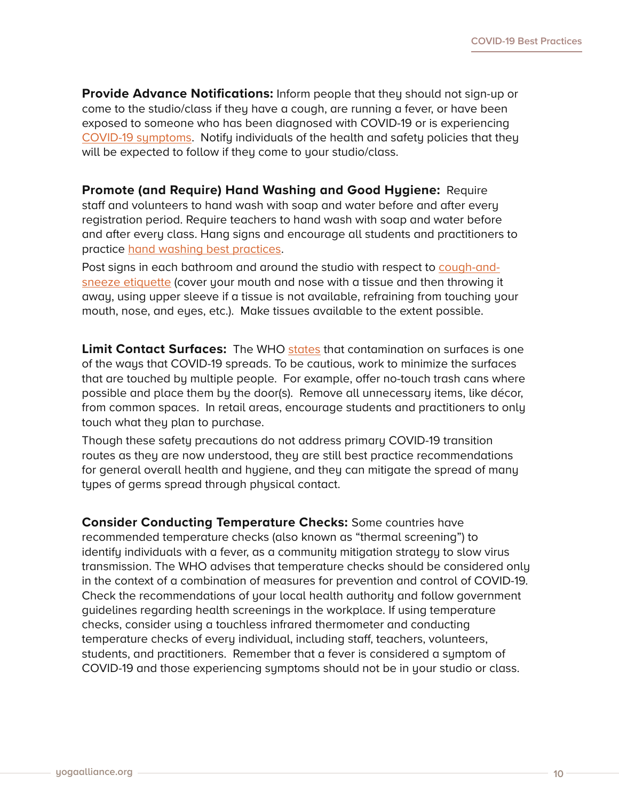**Provide Advance Notifications:** Inform people that they should not sign-up or come to the studio/class if they have a cough, are running a fever, or have been exposed to someone who has been diagnosed with COVID-19 or is experiencing [COVID-19 symptoms.](https://www.who.int/health-topics/coronavirus#tab=tab_3) Notify individuals of the health and safety policies that they will be expected to follow if they come to your studio/class.

#### **Promote (and Require) Hand Washing and Good Hygiene:** Require

staff and volunteers to hand wash with soap and water before and after every registration period. Require teachers to hand wash with soap and water before and after every class. Hang signs and encourage all students and practitioners to practice [hand washing best practices](https://www.who.int/teams/integrated-health-services/infection-prevention-control).

Post signs in each bathroom and around the studio with respect to [cough-and](https://www.who.int/images/default-source/health-topics/coronavirus/risk-communications/general-public/protect-yourself/blue-3.png?sfvrsn=b1ef6d45_2)[sneeze etiquette](https://www.who.int/images/default-source/health-topics/coronavirus/risk-communications/general-public/protect-yourself/blue-3.png?sfvrsn=b1ef6d45_2) (cover your mouth and nose with a tissue and then throwing it away, using upper sleeve if a tissue is not available, refraining from touching your mouth, nose, and eyes, etc.). Make tissues available to the extent possible.

**Limit Contact Surfaces:** The WHO [states](https://www.who.int/news-room/q-a-detail/coronavirus-disease-covid-19-how-is-it-transmitted) that contamination on surfaces is one of the ways that COVID-19 spreads. To be cautious, work to minimize the surfaces that are touched by multiple people. For example, offer no-touch trash cans where possible and place them by the door(s). Remove all unnecessary items, like décor, from common spaces. In retail areas, encourage students and practitioners to only touch what they plan to purchase.

Though these safety precautions do not address primary COVID-19 transition routes as they are now understood, they are still best practice recommendations for general overall health and hygiene, and they can mitigate the spread of many types of germs spread through physical contact.

**Consider Conducting Temperature Checks:** Some countries have recommended temperature checks (also known as "thermal screening") to identify individuals with a fever, as a community mitigation strategy to slow virus transmission. The WHO advises that temperature checks should be considered only in the context of a combination of measures for prevention and control of COVID-19. Check the recommendations of your local health authority and follow government guidelines regarding health screenings in the workplace. If using temperature checks, consider using a touchless infrared thermometer and conducting temperature checks of every individual, including staff, teachers, volunteers, students, and practitioners. Remember that a fever is considered a symptom of COVID-19 and those experiencing symptoms should not be in your studio or class.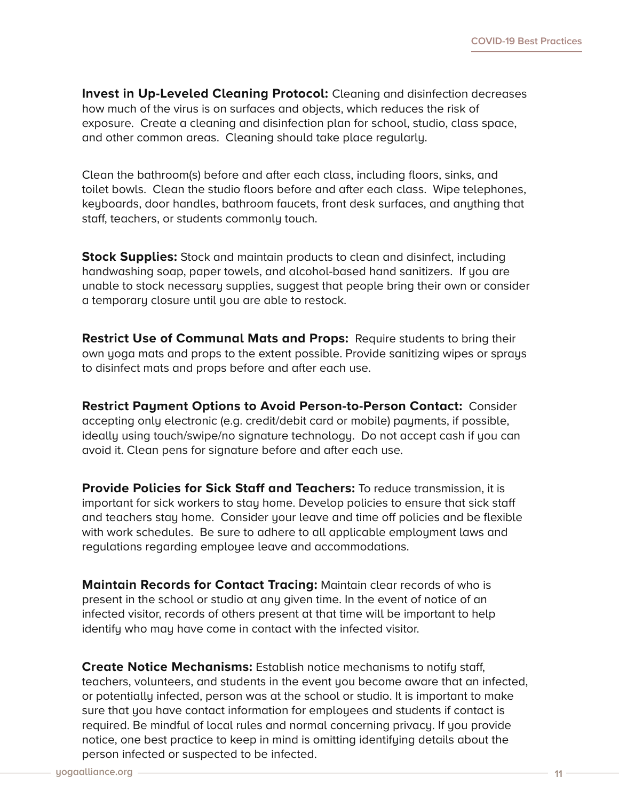**Invest in Up-Leveled Cleaning Protocol:** Cleaning and disinfection decreases how much of the virus is on surfaces and objects, which reduces the risk of exposure. Create a cleaning and disinfection plan for school, studio, class space, and other common areas. Cleaning should take place regularly.

Clean the bathroom(s) before and after each class, including floors, sinks, and toilet bowls. Clean the studio floors before and after each class. Wipe telephones, keyboards, door handles, bathroom faucets, front desk surfaces, and anything that staff, teachers, or students commonly touch.

**Stock Supplies:** Stock and maintain products to clean and disinfect, including handwashing soap, paper towels, and alcohol-based hand sanitizers. If you are unable to stock necessary supplies, suggest that people bring their own or consider a temporary closure until you are able to restock.

**Restrict Use of Communal Mats and Props:** Require students to bring their own yoga mats and props to the extent possible. Provide sanitizing wipes or sprays to disinfect mats and props before and after each use.

**Restrict Payment Options to Avoid Person-to-Person Contact:** Consider accepting only electronic (e.g. credit/debit card or mobile) payments, if possible, ideally using touch/swipe/no signature technology. Do not accept cash if you can avoid it. Clean pens for signature before and after each use.

**Provide Policies for Sick Staff and Teachers:** To reduce transmission, it is important for sick workers to stay home. Develop policies to ensure that sick staff and teachers stay home. Consider your leave and time off policies and be flexible with work schedules. Be sure to adhere to all applicable employment laws and regulations regarding employee leave and accommodations.

**Maintain Records for Contact Tracing:** Maintain clear records of who is present in the school or studio at any given time. In the event of notice of an infected visitor, records of others present at that time will be important to help identify who may have come in contact with the infected visitor.

**Create Notice Mechanisms:** Establish notice mechanisms to notify staff, teachers, volunteers, and students in the event you become aware that an infected, or potentially infected, person was at the school or studio. It is important to make sure that you have contact information for employees and students if contact is required. Be mindful of local rules and normal concerning privacy. If you provide notice, one best practice to keep in mind is omitting identifying details about the person infected or suspected to be infected.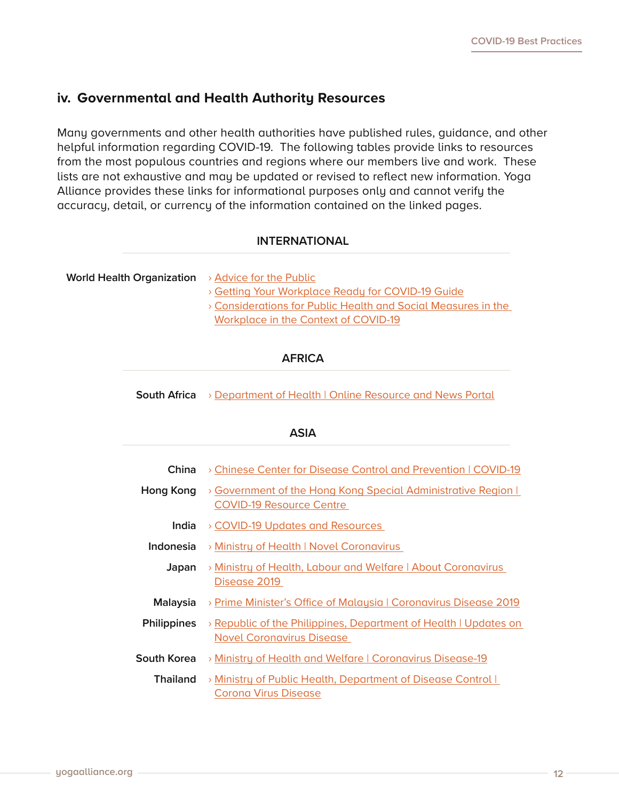### **iv. Governmental and Health Authority Resources**

Many governments and other health authorities have published rules, guidance, and other helpful information regarding COVID-19. The following tables provide links to resources from the most populous countries and regions where our members live and work. These lists are not exhaustive and may be updated or revised to reflect new information. Yoga Alliance provides these links for informational purposes only and cannot verify the accuracy, detail, or currency of the information contained on the linked pages.

#### **INTERNATIONAL**

**World Health Organization** > [Advice for the Public](https://www.who.int/emergencies/diseases/novel-coronavirus-2019/advice-for-public)

- › [Getting Your Workplace Ready for COVID-19 Guide](https://www.who.int/docs/default-source/coronaviruse/advice-for-workplace-clean-19-03-2020.pdf?sfvrsn=bd671114_6)
- › [Considerations for Public Health and Social Measures in the](https://www.who.int/publications-detail/considerations-for-public-health-and-social-measures-in-the-workplace-in-the-context-of-covid-19)  [Workplace in the Context of COVID-19](https://www.who.int/publications-detail/considerations-for-public-health-and-social-measures-in-the-workplace-in-the-context-of-covid-19)

#### **AFRICA**

**South Africa** › [Department of Health | Online Resource and News Portal](https://sacoronavirus.co.za/?__cf_chl_jschl_tk__=60c291d4a37b1af86592611a67eebac5f90e16e4-1588711731-0-Aa-a_WBgSP119ZrFowgw-eO-dpY_JH852xtEciaCWZtoxw6Q2TChy22VbViYxigBKCEVRNxYap0b284Iq6DWe5uQ_GzMzgdvSz-fyQtPwJEVXJpCvWsSkWtpD6DZ_aBrdvAJ5ffdfpIB4MX8bYYZyXQMWOSEmBCD68snksKDbnHlw2uyIkoKFH0Jrbq7kj40WJ-Uph-GNfEyPjX9KpiGR7wR1XSQB9YqzKdjdQK8nnbS41NXIo1wR7-5DFw0xmPbn_4KqluwfQI6HfkdMPBouAY)

#### **ASIA**

| China              | > Chinese Center for Disease Control and Prevention   COVID-19                                       |
|--------------------|------------------------------------------------------------------------------------------------------|
| Hong Kong          | > Government of the Hong Kong Special Administrative Region  <br><b>COVID-19 Resource Centre</b>     |
| India              | > COVID-19 Updates and Resources                                                                     |
| Indonesia          | > Ministry of Health   Novel Coronavirus                                                             |
| Japan              | > Ministry of Health, Labour and Welfare   About Coronavirus<br>Disease 2019                         |
| <b>Malaysia</b>    | > Prime Minister's Office of Malaysia   Coronavirus Disease 2019                                     |
| <b>Philippines</b> | > Republic of the Philippines, Department of Health   Updates on<br><b>Novel Coronavirus Disease</b> |
| South Korea        | > Ministry of Health and Welfare   Coronavirus Disease-19                                            |
| <b>Thailand</b>    | > Ministry of Public Health, Department of Disease Control  <br>Corona Virus Disease                 |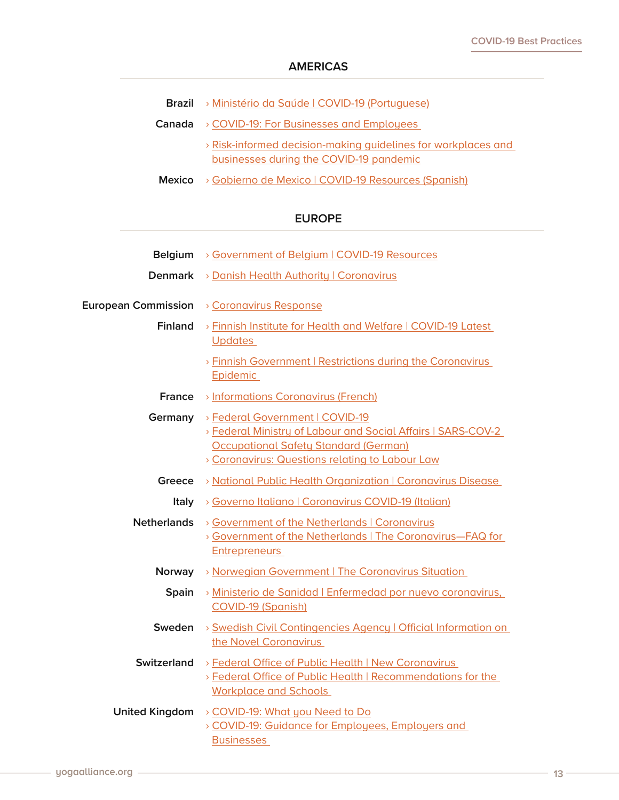#### **AMERICAS**

| <b>Brazil</b> > Ministério da Saúde   COVID-19 (Portuguese) |
|-------------------------------------------------------------|
|-------------------------------------------------------------|

- **Canada** › [COVID-19: For Businesses and Employees](https://www.canada.ca/en/public-health/services/diseases/coronavirus-disease-covid-19/businesses-employees.html)  › [Risk-informed decision-making guidelines for workplaces and](https://www.canada.ca/en/public-health/services/diseases/2019-novel-coronavirus-infection/guidance-documents/risk-informed-decision-making-workplaces-businesses-covid-19-pandemic.html)  [businesses during the COVID-19 pandemic](https://www.canada.ca/en/public-health/services/diseases/2019-novel-coronavirus-infection/guidance-documents/risk-informed-decision-making-workplaces-businesses-covid-19-pandemic.html)
- **Mexico** › [Gobierno de Mexico | COVID-19 Resources \(Spanish\)](https://coronavirus.gob.mx/)

#### **EUROPE**

| <b>Belgium</b>             | > Government of Belgium   COVID-19 Resources                                                                                                                                                       |
|----------------------------|----------------------------------------------------------------------------------------------------------------------------------------------------------------------------------------------------|
| <b>Denmark</b>             | > Danish Health Authority   Coronavirus                                                                                                                                                            |
| <b>European Commission</b> | > Coronavirus Response                                                                                                                                                                             |
| <b>Finland</b>             | > Finnish Institute for Health and Welfare   COVID-19 Latest<br><b>Updates</b>                                                                                                                     |
|                            | > Finnish Government   Restrictions during the Coronavirus<br>Epidemic                                                                                                                             |
| <b>France</b>              | > Informations Coronavirus (French)                                                                                                                                                                |
| Germany                    | > Federal Government   COVID-19<br>> Federal Ministry of Labour and Social Affairs   SARS-COV-2<br><b>Occupational Safety Standard (German)</b><br>> Coronavirus: Questions relating to Labour Law |
| Greece                     | > National Public Health Organization   Coronavirus Disease                                                                                                                                        |
| Italy                      | > Governo Italiano   Coronavirus COVID-19 (Italian)                                                                                                                                                |
| <b>Netherlands</b>         | > Government of the Netherlands   Coronavirus<br>> Government of the Netherlands   The Coronavirus-FAQ for<br><b>Entrepreneurs</b>                                                                 |
| Norway                     | > Norwegian Government   The Coronavirus Situation                                                                                                                                                 |
| Spain                      | > Ministerio de Sanidad   Enfermedad por nuevo coronavirus,<br><b>COVID-19 (Spanish)</b>                                                                                                           |
| Sweden                     | > Swedish Civil Contingencies Agency   Official Information on<br>the Novel Coronavirus                                                                                                            |
| <b>Switzerland</b>         | > Federal Office of Public Health   New Coronavirus<br>> Federal Office of Public Health   Recommendations for the<br><b>Workplace and Schools</b>                                                 |
| <b>United Kingdom</b>      | > COVID-19: What you Need to Do<br>> COVID-19: Guidance for Employees, Employers and<br><b>Businesses</b>                                                                                          |